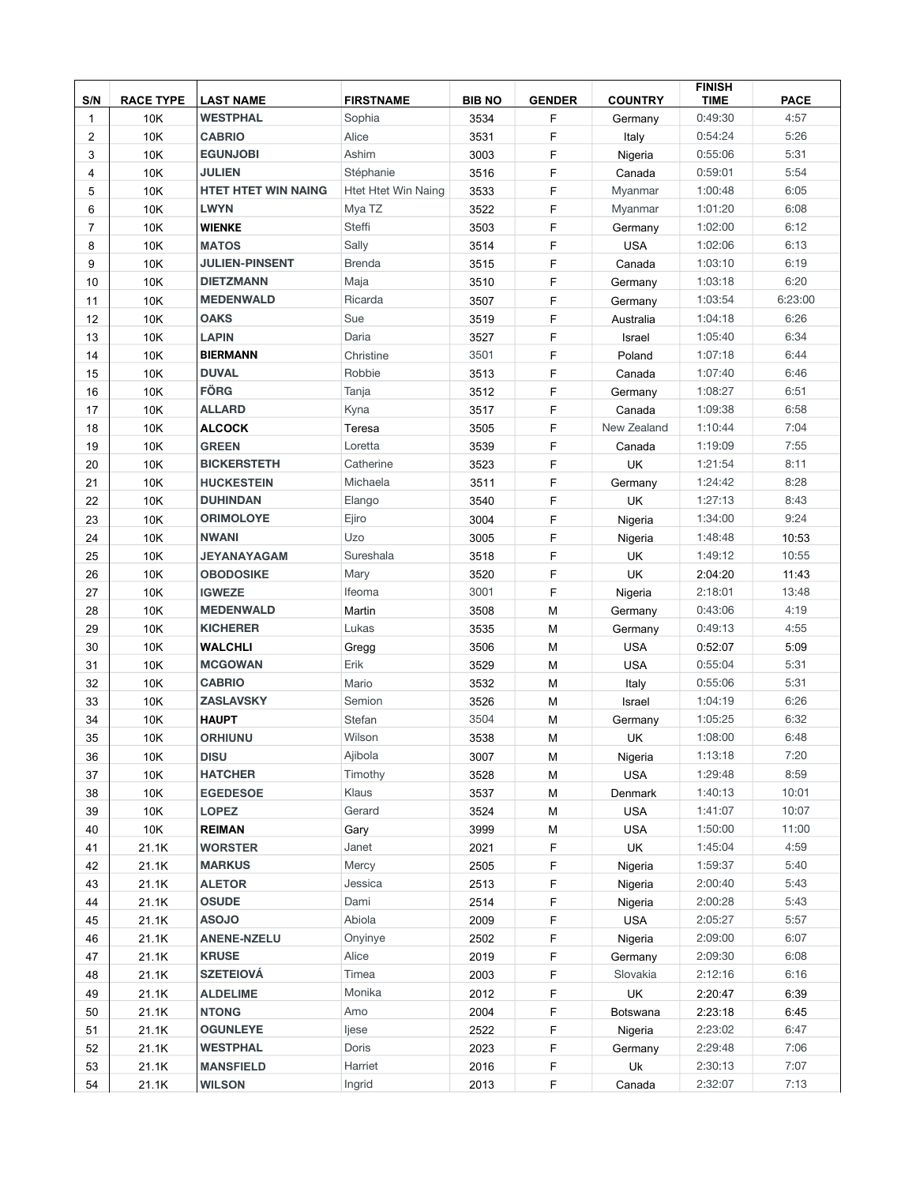| S/N            | <b>RACE TYPE</b> | <b>LAST NAME</b>           | <b>FIRSTNAME</b>           | <b>BIB NO</b> | <b>GENDER</b> | <b>COUNTRY</b> | <b>FINISH</b><br><b>TIME</b> | <b>PACE</b>  |
|----------------|------------------|----------------------------|----------------------------|---------------|---------------|----------------|------------------------------|--------------|
| 1              | 10K              | <b>WESTPHAL</b>            | Sophia                     | 3534          | F             | Germany        | 0:49:30                      | 4:57         |
| 2              | 10K              | <b>CABRIO</b>              | Alice                      | 3531          | F             | Italy          | 0:54:24                      | 5:26         |
| 3              | 10K              | <b>EGUNJOBI</b>            | Ashim                      | 3003          | F             | Nigeria        | 0:55:06                      | 5:31         |
| 4              | 10K              | <b>JULIEN</b>              | Stéphanie                  | 3516          | F             | Canada         | 0:59:01                      | 5:54         |
| 5              | 10K              | <b>HTET HTET WIN NAING</b> | <b>Htet Htet Win Naing</b> | 3533          | F             | Myanmar        | 1:00:48                      | 6:05         |
| 6              | 10K              | <b>LWYN</b>                | Mya TZ                     | 3522          | F             | Myanmar        | 1:01:20                      | 6:08         |
| $\overline{7}$ | 10K              | <b>WIENKE</b>              | Steffi                     | 3503          | F             | Germany        | 1:02:00                      | 6:12         |
| 8              | 10K              | <b>MATOS</b>               | Sally                      | 3514          | F             | <b>USA</b>     | 1:02:06                      | 6:13         |
| 9              | 10K              | <b>JULIEN-PINSENT</b>      | <b>Brenda</b>              | 3515          | F             | Canada         | 1:03:10                      | 6:19         |
| 10             | 10K              | <b>DIETZMANN</b>           | Maja                       | 3510          | F             | Germany        | 1:03:18                      | 6:20         |
| 11             | 10K              | <b>MEDENWALD</b>           | Ricarda                    | 3507          | F             | Germany        | 1:03:54                      | 6:23:00      |
| 12             | 10K              | <b>OAKS</b>                | Sue                        | 3519          | F             | Australia      | 1:04:18                      | 6:26         |
| 13             | 10K              | <b>LAPIN</b>               | Daria                      | 3527          | F             | Israel         | 1:05:40                      | 6:34         |
| 14             | 10K              | <b>BIERMANN</b>            | Christine                  | 3501          | F             | Poland         | 1:07:18                      | 6:44         |
| 15             | 10K              | <b>DUVAL</b>               | Robbie                     | 3513          | F             | Canada         | 1:07:40                      | 6:46         |
| 16             | 10K              | <b>FÖRG</b>                | Tanja                      | 3512          | F             | Germany        | 1:08:27                      | 6:51         |
| 17             | 10K              | <b>ALLARD</b>              | Kyna                       | 3517          | F             | Canada         | 1:09:38                      | 6:58         |
| 18             | 10K              | <b>ALCOCK</b>              | Teresa                     | 3505          | F             | New Zealand    | 1:10:44                      | 7:04         |
| 19             | 10K              | <b>GREEN</b>               | Loretta                    | 3539          | F             | Canada         | 1:19:09                      | 7:55         |
| 20             | 10K              | <b>BICKERSTETH</b>         | Catherine                  | 3523          | F             | UK             | 1:21:54                      | 8:11         |
| 21             | 10K              | <b>HUCKESTEIN</b>          | Michaela                   | 3511          | F             | Germany        | 1:24:42                      | 8:28         |
| 22             | 10K              | <b>DUHINDAN</b>            | Elango                     | 3540          | F             | UK             | 1:27:13                      | 8:43         |
| 23             | 10K              | <b>ORIMOLOYE</b>           | Ejiro                      | 3004          | F             | Nigeria        | 1:34:00                      | 9:24         |
| 24             | 10K              | <b>NWANI</b>               | Uzo                        | 3005          | F             | Nigeria        | 1:48:48                      | 10:53        |
| 25             | 10K              | <b>JEYANAYAGAM</b>         | Sureshala                  | 3518          | F             | UK             | 1:49:12                      | 10:55        |
| 26             | 10K              | <b>OBODOSIKE</b>           | Mary                       | 3520          | F             | UK             | 2:04:20                      | 11:43        |
| 27             | 10K              | <b>IGWEZE</b>              | Ifeoma                     | 3001          | F             | Nigeria        | 2:18:01                      | 13:48        |
| 28             | 10K              | <b>MEDENWALD</b>           | Martin                     | 3508          | М             | Germany        | 0:43:06                      | 4:19         |
| 29             | 10K              | <b>KICHERER</b>            | Lukas                      | 3535          | M             | Germany        | 0:49:13                      | 4:55         |
| 30             | 10K              | <b>WALCHLI</b>             | Gregg                      | 3506          | M             | <b>USA</b>     | 0:52:07                      | 5:09         |
| 31             | 10K              | <b>MCGOWAN</b>             | Erik                       | 3529          | M             | <b>USA</b>     | 0:55:04                      | 5:31         |
| 32             | 10K              | <b>CABRIO</b>              | Mario                      | 3532          | М             | Italy          | 0:55:06                      | 5:31         |
| 33             | 10K              | <b>ZASLAVSKY</b>           | Semion                     | 3526          | М             | Israel         | 1:04:19                      | 6:26         |
| 34             | 10K              | <b>HAUPT</b>               | Stefan                     | 3504          | M             | Germany        | 1:05:25                      | 6:32         |
| 35             | 10K              | <b>ORHIUNU</b>             | Wilson                     | 3538          | М             | UK             | 1:08:00                      | 6:48         |
| 36             | 10K              | <b>DISU</b>                | Ajibola                    | 3007          | M             | Nigeria        | 1:13:18                      | 7:20         |
| 37             | 10K              | <b>HATCHER</b>             | Timothy                    | 3528          | М             | <b>USA</b>     | 1:29:48                      | 8:59         |
| 38             | 10K              | <b>EGEDESOE</b>            | Klaus                      | 3537          | M             | Denmark        | 1:40:13                      | 10:01        |
| 39             | 10K              | <b>LOPEZ</b>               | Gerard                     | 3524          | M             | <b>USA</b>     | 1:41:07                      | 10:07        |
| 40             | 10K              | <b>REIMAN</b>              | Gary                       | 3999          | M             | <b>USA</b>     | 1:50:00                      | 11:00        |
| 41             | 21.1K            | <b>WORSTER</b>             | Janet                      | 2021          | F             | UK             | 1:45:04                      | 4:59         |
| 42             | 21.1K            | <b>MARKUS</b>              | Mercy                      | 2505          | F             | Nigeria        | 1:59:37                      | 5:40         |
| 43             | 21.1K            | <b>ALETOR</b>              | Jessica                    | 2513          | F             | Nigeria        | 2:00:40                      | 5:43         |
| 44             | 21.1K            | <b>OSUDE</b>               | Dami                       | 2514          | F             | Nigeria        | 2:00:28                      | 5:43         |
| 45             | 21.1K            | <b>ASOJO</b>               | Abiola                     | 2009          | F             | <b>USA</b>     | 2:05:27                      | 5:57         |
| 46             | 21.1K            | <b>ANENE-NZELU</b>         | Onyinye                    | 2502          | F             | Nigeria        | 2:09:00                      | 6:07         |
| 47             | 21.1K            | <b>KRUSE</b>               | Alice                      | 2019          | F             | Germany        | 2:09:30                      | 6:08         |
| 48             | 21.1K            | <b>SZETEIOVÁ</b>           | Timea                      | 2003          | F             | Slovakia       | 2:12:16                      | 6:16         |
|                | 21.1K            |                            | Monika                     |               | $\mathsf F$   | UK             |                              | 6:39         |
| 49             |                  | <b>ALDELIME</b>            | Amo                        | 2012          | $\mathsf F$   |                | 2:20:47                      |              |
| 50             | 21.1K            | <b>NTONG</b>               |                            | 2004          | $\mathsf F$   | Botswana       | 2:23:18                      | 6:45<br>6:47 |
| 51             | 21.1K            | <b>OGUNLEYE</b>            | ljese                      | 2522          |               | Nigeria        | 2:23:02                      | 7:06         |
| 52             | 21.1K            | <b>WESTPHAL</b>            | Doris                      | 2023          | F             | Germany        | 2:29:48                      |              |
| 53             | 21.1K            | <b>MANSFIELD</b>           | Harriet                    | 2016          | F             | Uk             | 2:30:13                      | 7:07         |
| 54             | 21.1K            | <b>WILSON</b>              | Ingrid                     | 2013          | F             | Canada         | 2:32:07                      | 7:13         |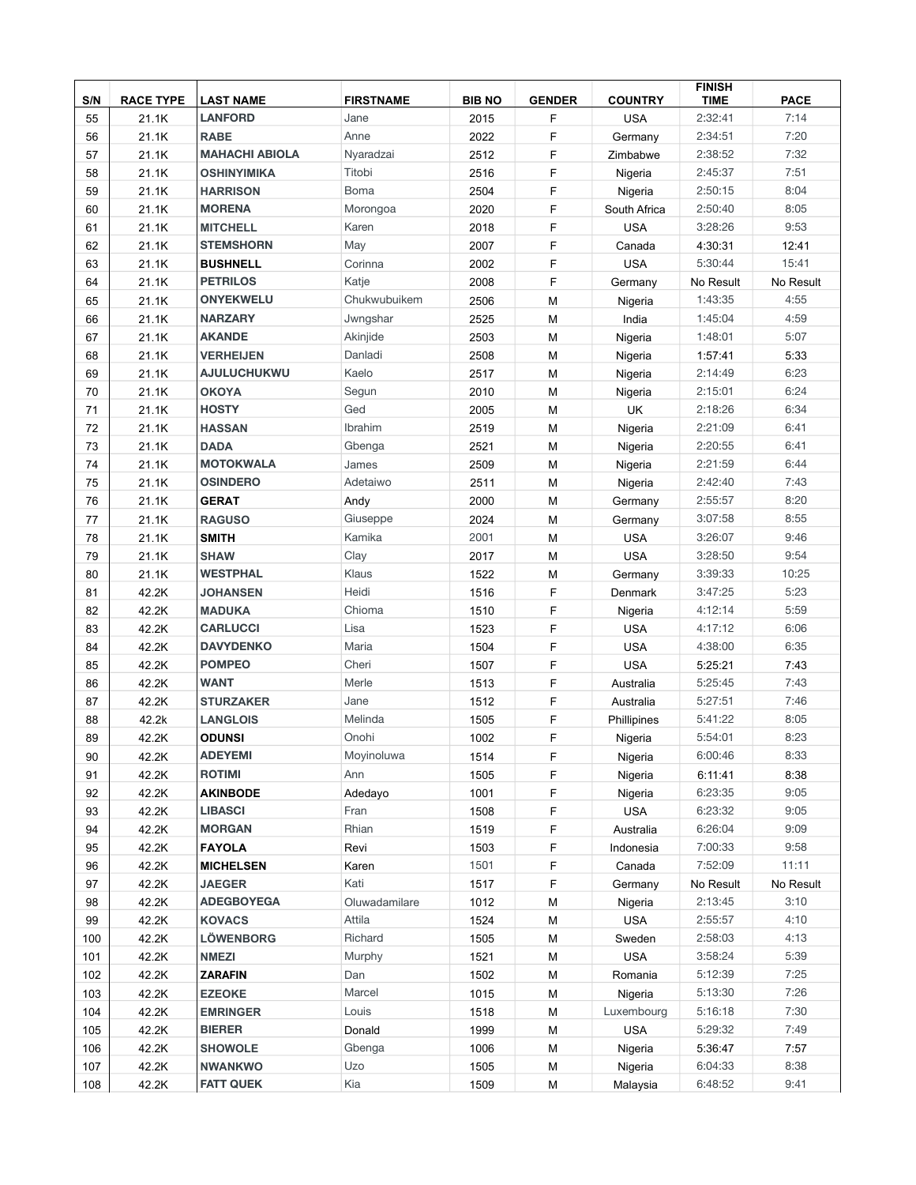| S/N | <b>RACE TYPE</b> | <b>LAST NAME</b>      | <b>FIRSTNAME</b> | <b>BIB NO</b> | <b>GENDER</b> | <b>COUNTRY</b> | <b>FINISH</b><br><b>TIME</b> | <b>PACE</b> |
|-----|------------------|-----------------------|------------------|---------------|---------------|----------------|------------------------------|-------------|
| 55  | 21.1K            | <b>LANFORD</b>        | Jane             | 2015          | F             | <b>USA</b>     | 2:32:41                      | 7:14        |
| 56  | 21.1K            | <b>RABE</b>           | Anne             | 2022          | F             | Germany        | 2:34:51                      | 7:20        |
| 57  | 21.1K            | <b>MAHACHI ABIOLA</b> | Nyaradzai        | 2512          | F             | Zimbabwe       | 2:38:52                      | 7:32        |
| 58  | 21.1K            | <b>OSHINYIMIKA</b>    | Titobi           | 2516          | F             | Nigeria        | 2:45:37                      | 7:51        |
| 59  | 21.1K            | <b>HARRISON</b>       | <b>Boma</b>      | 2504          | F             | Nigeria        | 2:50:15                      | 8:04        |
| 60  | 21.1K            | <b>MORENA</b>         | Morongoa         | 2020          | F             | South Africa   | 2:50:40                      | 8:05        |
| 61  | 21.1K            | <b>MITCHELL</b>       | Karen            | 2018          | F             | <b>USA</b>     | 3:28:26                      | 9:53        |
| 62  | 21.1K            | <b>STEMSHORN</b>      | May              | 2007          | F             | Canada         | 4:30:31                      | 12:41       |
| 63  | 21.1K            | <b>BUSHNELL</b>       | Corinna          | 2002          | F             | <b>USA</b>     | 5:30:44                      | 15:41       |
| 64  | 21.1K            | <b>PETRILOS</b>       | Katje            | 2008          | F             | Germany        | No Result                    | No Result   |
| 65  | 21.1K            | <b>ONYEKWELU</b>      | Chukwubuikem     | 2506          | M             | Nigeria        | 1:43:35                      | 4:55        |
| 66  | 21.1K            | <b>NARZARY</b>        | Jwngshar         | 2525          | M             | India          | 1:45:04                      | 4:59        |
| 67  | 21.1K            | <b>AKANDE</b>         | Akinjide         | 2503          | M             | Nigeria        | 1:48:01                      | 5:07        |
| 68  | 21.1K            | <b>VERHEIJEN</b>      | Danladi          | 2508          | M             | Nigeria        | 1:57:41                      | 5:33        |
| 69  | 21.1K            | <b>AJULUCHUKWU</b>    | Kaelo            | 2517          | M             | Nigeria        | 2:14:49                      | 6:23        |
| 70  | 21.1K            | <b>OKOYA</b>          | Segun            | 2010          | M             | Nigeria        | 2:15:01                      | 6:24        |
| 71  | 21.1K            | <b>HOSTY</b>          | Ged              | 2005          | M             | UK             | 2:18:26                      | 6:34        |
| 72  | 21.1K            | <b>HASSAN</b>         | Ibrahim          | 2519          | M             | Nigeria        | 2:21:09                      | 6:41        |
| 73  | 21.1K            | <b>DADA</b>           | Gbenga           | 2521          | M             | Nigeria        | 2:20:55                      | 6:41        |
| 74  | 21.1K            | <b>MOTOKWALA</b>      | James            | 2509          | М             | Nigeria        | 2:21:59                      | 6:44        |
| 75  | 21.1K            | <b>OSINDERO</b>       | Adetaiwo         | 2511          | M             | Nigeria        | 2:42:40                      | 7:43        |
| 76  | 21.1K            | <b>GERAT</b>          | Andy             | 2000          | M             | Germany        | 2:55:57                      | 8:20        |
| 77  | 21.1K            | <b>RAGUSO</b>         | Giuseppe         | 2024          | M             | Germany        | 3:07:58                      | 8:55        |
| 78  | 21.1K            | <b>SMITH</b>          | Kamika           | 2001          | M             | <b>USA</b>     | 3:26:07                      | 9:46        |
| 79  | 21.1K            | <b>SHAW</b>           | Clay             | 2017          | М             | <b>USA</b>     | 3:28:50                      | 9:54        |
| 80  | 21.1K            | <b>WESTPHAL</b>       | Klaus            | 1522          | М             | Germany        | 3:39:33                      | 10:25       |
| 81  | 42.2K            | <b>JOHANSEN</b>       | Heidi            | 1516          | F             | Denmark        | 3:47:25                      | 5:23        |
| 82  | 42.2K            | <b>MADUKA</b>         | Chioma           | 1510          | F             | Nigeria        | 4:12:14                      | 5:59        |
| 83  | 42.2K            | <b>CARLUCCI</b>       | Lisa             | 1523          | F             | <b>USA</b>     | 4:17:12                      | 6:06        |
| 84  | 42.2K            | <b>DAVYDENKO</b>      | Maria            | 1504          | F             | <b>USA</b>     | 4:38:00                      | 6:35        |
| 85  | 42.2K            | <b>POMPEO</b>         | Cheri            | 1507          | F             | <b>USA</b>     | 5:25:21                      | 7:43        |
| 86  | 42.2K            | <b>WANT</b>           | Merle            | 1513          | F             | Australia      | 5:25:45                      | 7:43        |
| 87  | 42.2K            | <b>STURZAKER</b>      | Jane             | 1512          | F             | Australia      | 5:27:51                      | 7:46        |
| 88  | 42.2k            | <b>LANGLOIS</b>       | Melinda          | 1505          | F             | Phillipines    | 5:41:22                      | 8:05        |
| 89  | 42.2K            | <b>ODUNSI</b>         | Onohi            | 1002          | F             | Nigeria        | 5:54:01                      | 8:23        |
| 90  | 42.2K            | <b>ADEYEMI</b>        | Moyinoluwa       | 1514          | F             | Nigeria        | 6:00:46                      | 8:33        |
| 91  | 42.2K            | <b>ROTIMI</b>         | Ann              | 1505          | F             | Nigeria        | 6:11:41                      | 8:38        |
| 92  | 42.2K            | <b>AKINBODE</b>       | Adedayo          | 1001          | F             | Nigeria        | 6:23:35                      | 9:05        |
| 93  | 42.2K            | <b>LIBASCI</b>        | Fran             | 1508          | F             | <b>USA</b>     | 6:23:32                      | 9:05        |
| 94  | 42.2K            | <b>MORGAN</b>         | Rhian            | 1519          | F             | Australia      | 6:26:04                      | 9:09        |
| 95  | 42.2K            | <b>FAYOLA</b>         | Revi             | 1503          | F             | Indonesia      | 7:00:33                      | 9:58        |
| 96  | 42.2K            | <b>MICHELSEN</b>      | Karen            | 1501          | F             | Canada         | 7:52:09                      | 11:11       |
| 97  | 42.2K            | <b>JAEGER</b>         | Kati             | 1517          | F             | Germany        | No Result                    | No Result   |
| 98  | 42.2K            | <b>ADEGBOYEGA</b>     | Oluwadamilare    | 1012          | M             | Nigeria        | 2:13:45                      | 3:10        |
| 99  | 42.2K            | <b>KOVACS</b>         | Attila           | 1524          | M             | <b>USA</b>     | 2:55:57                      | 4:10        |
| 100 | 42.2K            | LÖWENBORG             | Richard          | 1505          | M             | Sweden         | 2:58:03                      | 4:13        |
| 101 | 42.2K            | <b>NMEZI</b>          | Murphy           | 1521          | M             | <b>USA</b>     | 3:58:24                      | 5:39        |
| 102 | 42.2K            | <b>ZARAFIN</b>        | Dan              | 1502          | M             | Romania        | 5:12:39                      | 7:25        |
| 103 | 42.2K            | <b>EZEOKE</b>         | Marcel           | 1015          | M             | Nigeria        | 5:13:30                      | 7:26        |
| 104 | 42.2K            | <b>EMRINGER</b>       | Louis            | 1518          | M             | Luxembourg     | 5:16:18                      | 7:30        |
| 105 | 42.2K            | <b>BIERER</b>         | Donald           | 1999          | M             | <b>USA</b>     | 5:29:32                      | 7:49        |
| 106 | 42.2K            | <b>SHOWOLE</b>        | Gbenga           | 1006          | M             | Nigeria        | 5:36:47                      | 7:57        |
| 107 | 42.2K            | <b>NWANKWO</b>        | Uzo              | 1505          | M             | Nigeria        | 6:04:33                      | 8:38        |
| 108 | 42.2K            | <b>FATT QUEK</b>      | Kia              | 1509          | М             | Malaysia       | 6:48:52                      | 9:41        |